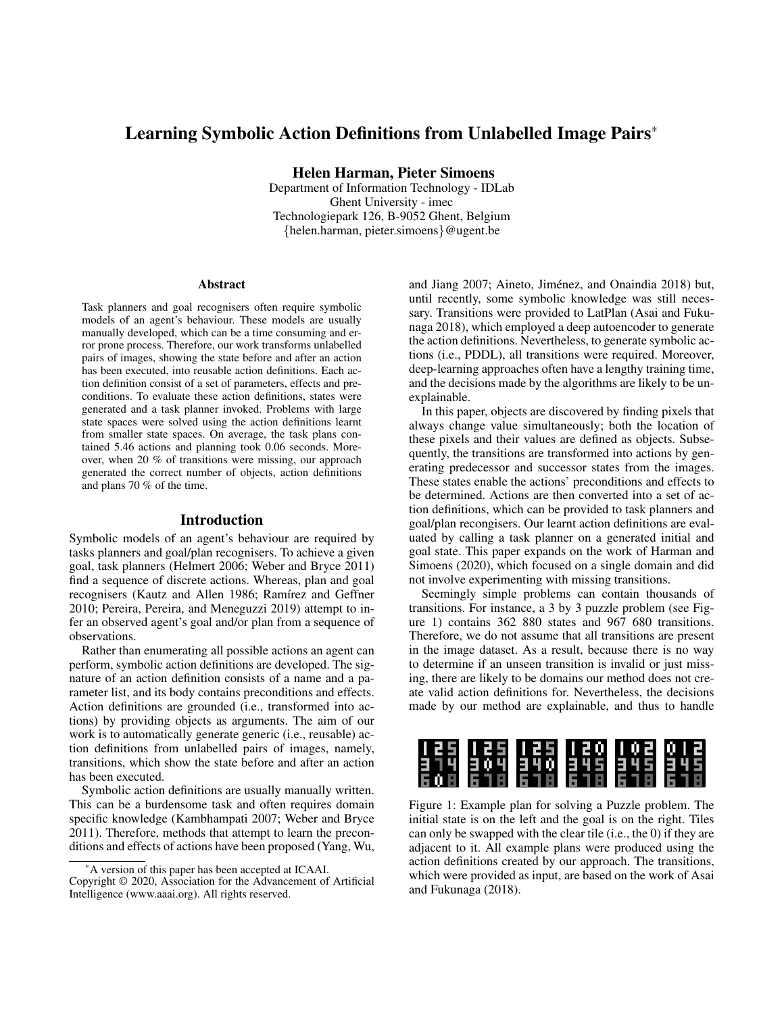# Learning Symbolic Action Definitions from Unlabelled Image Pairs\*

Helen Harman, Pieter Simoens

Department of Information Technology - IDLab Ghent University - imec Technologiepark 126, B-9052 Ghent, Belgium {helen.harman, pieter.simoens}@ugent.be

#### **Abstract**

Task planners and goal recognisers often require symbolic models of an agent's behaviour. These models are usually manually developed, which can be a time consuming and error prone process. Therefore, our work transforms unlabelled pairs of images, showing the state before and after an action has been executed, into reusable action definitions. Each action definition consist of a set of parameters, effects and preconditions. To evaluate these action definitions, states were generated and a task planner invoked. Problems with large state spaces were solved using the action definitions learnt from smaller state spaces. On average, the task plans contained 5.46 actions and planning took 0.06 seconds. Moreover, when 20 % of transitions were missing, our approach generated the correct number of objects, action definitions and plans 70 % of the time.

### Introduction

Symbolic models of an agent's behaviour are required by tasks planners and goal/plan recognisers. To achieve a given goal, task planners (Helmert 2006; Weber and Bryce 2011) find a sequence of discrete actions. Whereas, plan and goal recognisers (Kautz and Allen 1986; Ramírez and Geffner 2010; Pereira, Pereira, and Meneguzzi 2019) attempt to infer an observed agent's goal and/or plan from a sequence of observations.

Rather than enumerating all possible actions an agent can perform, symbolic action definitions are developed. The signature of an action definition consists of a name and a parameter list, and its body contains preconditions and effects. Action definitions are grounded (i.e., transformed into actions) by providing objects as arguments. The aim of our work is to automatically generate generic (i.e., reusable) action definitions from unlabelled pairs of images, namely, transitions, which show the state before and after an action has been executed.

Symbolic action definitions are usually manually written. This can be a burdensome task and often requires domain specific knowledge (Kambhampati 2007; Weber and Bryce 2011). Therefore, methods that attempt to learn the preconditions and effects of actions have been proposed (Yang, Wu,

and Jiang 2007; Aineto, Jiménez, and Onaindia 2018) but, until recently, some symbolic knowledge was still necessary. Transitions were provided to LatPlan (Asai and Fukunaga 2018), which employed a deep autoencoder to generate the action definitions. Nevertheless, to generate symbolic actions (i.e., PDDL), all transitions were required. Moreover, deep-learning approaches often have a lengthy training time, and the decisions made by the algorithms are likely to be unexplainable.

In this paper, objects are discovered by finding pixels that always change value simultaneously; both the location of these pixels and their values are defined as objects. Subsequently, the transitions are transformed into actions by generating predecessor and successor states from the images. These states enable the actions' preconditions and effects to be determined. Actions are then converted into a set of action definitions, which can be provided to task planners and goal/plan recongisers. Our learnt action definitions are evaluated by calling a task planner on a generated initial and goal state. This paper expands on the work of Harman and Simoens (2020), which focused on a single domain and did not involve experimenting with missing transitions.

Seemingly simple problems can contain thousands of transitions. For instance, a 3 by 3 puzzle problem (see Figure 1) contains 362 880 states and 967 680 transitions. Therefore, we do not assume that all transitions are present in the image dataset. As a result, because there is no way to determine if an unseen transition is invalid or just missing, there are likely to be domains our method does not create valid action definitions for. Nevertheless, the decisions made by our method are explainable, and thus to handle



Figure 1: Example plan for solving a Puzzle problem. The initial state is on the left and the goal is on the right. Tiles can only be swapped with the clear tile (i.e., the 0) if they are adjacent to it. All example plans were produced using the action definitions created by our approach. The transitions, which were provided as input, are based on the work of Asai and Fukunaga (2018).

<sup>\*</sup>A version of this paper has been accepted at ICAAI. Copyright © 2020, Association for the Advancement of Artificial Intelligence (www.aaai.org). All rights reserved.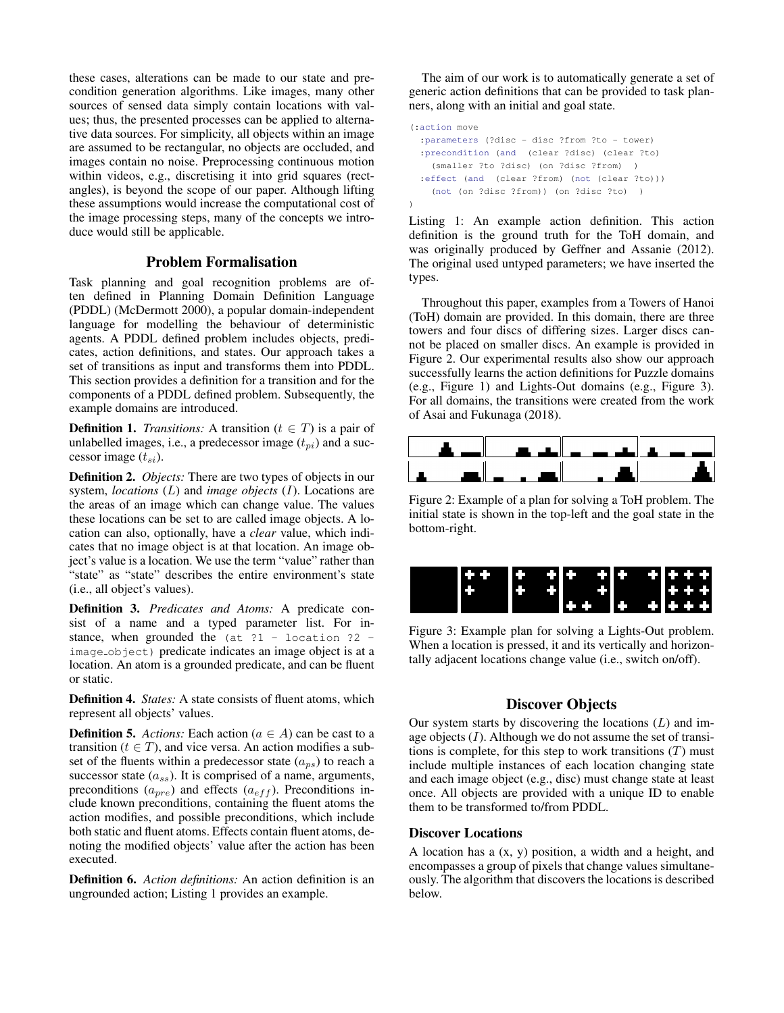these cases, alterations can be made to our state and precondition generation algorithms. Like images, many other sources of sensed data simply contain locations with values; thus, the presented processes can be applied to alternative data sources. For simplicity, all objects within an image are assumed to be rectangular, no objects are occluded, and images contain no noise. Preprocessing continuous motion within videos, e.g., discretising it into grid squares (rectangles), is beyond the scope of our paper. Although lifting these assumptions would increase the computational cost of the image processing steps, many of the concepts we introduce would still be applicable.

## Problem Formalisation

Task planning and goal recognition problems are often defined in Planning Domain Definition Language (PDDL) (McDermott 2000), a popular domain-independent language for modelling the behaviour of deterministic agents. A PDDL defined problem includes objects, predicates, action definitions, and states. Our approach takes a set of transitions as input and transforms them into PDDL. This section provides a definition for a transition and for the components of a PDDL defined problem. Subsequently, the example domains are introduced.

**Definition 1.** *Transitions:* A transition ( $t \in T$ ) is a pair of unlabelled images, i.e., a predecessor image  $(t_{pi})$  and a successor image  $(t_{si})$ .

Definition 2. *Objects:* There are two types of objects in our system, *locations* (L) and *image objects* (I). Locations are the areas of an image which can change value. The values these locations can be set to are called image objects. A location can also, optionally, have a *clear* value, which indicates that no image object is at that location. An image object's value is a location. We use the term "value" rather than "state" as "state" describes the entire environment's state (i.e., all object's values).

Definition 3. *Predicates and Atoms:* A predicate consist of a name and a typed parameter list. For instance, when grounded the  $(at 21 - location 22$ image object) predicate indicates an image object is at a location. An atom is a grounded predicate, and can be fluent or static.

Definition 4. *States:* A state consists of fluent atoms, which represent all objects' values.

**Definition 5.** *Actions:* Each action ( $a \in A$ ) can be cast to a transition ( $t \in T$ ), and vice versa. An action modifies a subset of the fluents within a predecessor state  $(a_{ps})$  to reach a successor state  $(a_{ss})$ . It is comprised of a name, arguments, preconditions  $(a_{pre})$  and effects  $(a_{eff})$ . Preconditions include known preconditions, containing the fluent atoms the action modifies, and possible preconditions, which include both static and fluent atoms. Effects contain fluent atoms, denoting the modified objects' value after the action has been executed.

Definition 6. *Action definitions:* An action definition is an ungrounded action; Listing 1 provides an example.

The aim of our work is to automatically generate a set of generic action definitions that can be provided to task planners, along with an initial and goal state.

```
(:action move
 :parameters (?disc - disc ?from ?to - tower)
 :precondition (and (clear ?disc) (clear ?to)
   (smaller ?to ?disc) (on ?disc ?from) )
 :effect (and (clear ?from) (not (clear ?to)))
   (not (on ?disc ?from)) (on ?disc ?to) )
)
```
Listing 1: An example action definition. This action definition is the ground truth for the ToH domain, and was originally produced by Geffner and Assanie (2012). The original used untyped parameters; we have inserted the types.

Throughout this paper, examples from a Towers of Hanoi (ToH) domain are provided. In this domain, there are three towers and four discs of differing sizes. Larger discs cannot be placed on smaller discs. An example is provided in Figure 2. Our experimental results also show our approach successfully learns the action definitions for Puzzle domains (e.g., Figure 1) and Lights-Out domains (e.g., Figure 3). For all domains, the transitions were created from the work of Asai and Fukunaga (2018).



Figure 2: Example of a plan for solving a ToH problem. The initial state is shown in the top-left and the goal state in the bottom-right.



Figure 3: Example plan for solving a Lights-Out problem. When a location is pressed, it and its vertically and horizontally adjacent locations change value (i.e., switch on/off).

## Discover Objects

Our system starts by discovering the locations  $(L)$  and image objects  $(I)$ . Although we do not assume the set of transitions is complete, for this step to work transitions  $(T)$  must include multiple instances of each location changing state and each image object (e.g., disc) must change state at least once. All objects are provided with a unique ID to enable them to be transformed to/from PDDL.

#### Discover Locations

A location has a (x, y) position, a width and a height, and encompasses a group of pixels that change values simultaneously. The algorithm that discovers the locations is described below.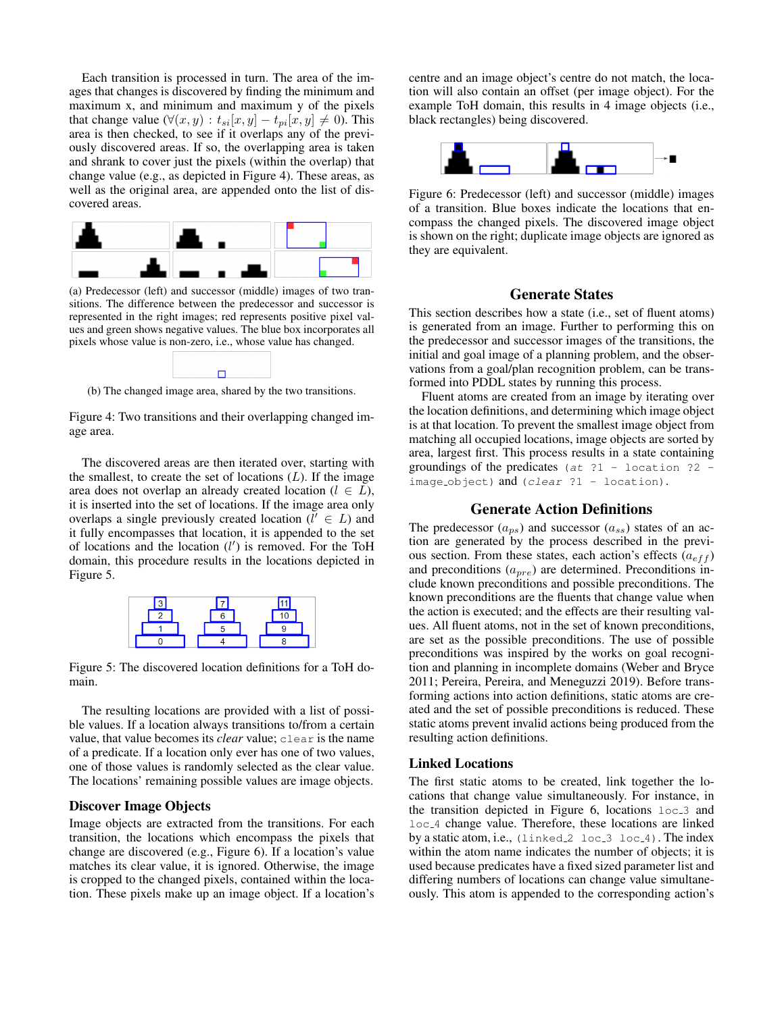Each transition is processed in turn. The area of the images that changes is discovered by finding the minimum and maximum x, and minimum and maximum y of the pixels that change value ( $\forall (x, y) : t_{si}[x, y] - t_{pi}[x, y] \neq 0$ ). This area is then checked, to see if it overlaps any of the previously discovered areas. If so, the overlapping area is taken and shrank to cover just the pixels (within the overlap) that change value (e.g., as depicted in Figure 4). These areas, as well as the original area, are appended onto the list of discovered areas.



(a) Predecessor (left) and successor (middle) images of two transitions. The difference between the predecessor and successor is represented in the right images; red represents positive pixel values and green shows negative values. The blue box incorporates all pixels whose value is non-zero, i.e., whose value has changed.



(b) The changed image area, shared by the two transitions.

Figure 4: Two transitions and their overlapping changed image area.

The discovered areas are then iterated over, starting with the smallest, to create the set of locations  $(L)$ . If the image area does not overlap an already created location ( $l \in L$ ), it is inserted into the set of locations. If the image area only overlaps a single previously created location ( $\tilde{l}' \in L$ ) and it fully encompasses that location, it is appended to the set of locations and the location  $(l')$  is removed. For the ToH domain, this procedure results in the locations depicted in Figure 5.



Figure 5: The discovered location definitions for a ToH domain.

The resulting locations are provided with a list of possible values. If a location always transitions to/from a certain value, that value becomes its *clear* value; clear is the name of a predicate. If a location only ever has one of two values, one of those values is randomly selected as the clear value. The locations' remaining possible values are image objects.

#### Discover Image Objects

Image objects are extracted from the transitions. For each transition, the locations which encompass the pixels that change are discovered (e.g., Figure 6). If a location's value matches its clear value, it is ignored. Otherwise, the image is cropped to the changed pixels, contained within the location. These pixels make up an image object. If a location's

centre and an image object's centre do not match, the location will also contain an offset (per image object). For the example ToH domain, this results in 4 image objects (i.e., black rectangles) being discovered.



Figure 6: Predecessor (left) and successor (middle) images of a transition. Blue boxes indicate the locations that encompass the changed pixels. The discovered image object is shown on the right; duplicate image objects are ignored as they are equivalent.

### Generate States

This section describes how a state (i.e., set of fluent atoms) is generated from an image. Further to performing this on the predecessor and successor images of the transitions, the initial and goal image of a planning problem, and the observations from a goal/plan recognition problem, can be transformed into PDDL states by running this process.

Fluent atoms are created from an image by iterating over the location definitions, and determining which image object is at that location. To prevent the smallest image object from matching all occupied locations, image objects are sorted by area, largest first. This process results in a state containing groundings of the predicates  $(at 21 - location 22$  $image\_object)$  and (*clear*  $?1 - location)$ .

## Generate Action Definitions

The predecessor  $(a_{ps})$  and successor  $(a_{ss})$  states of an action are generated by the process described in the previous section. From these states, each action's effects  $(a_{eff})$ and preconditions  $(a_{pre})$  are determined. Preconditions include known preconditions and possible preconditions. The known preconditions are the fluents that change value when the action is executed; and the effects are their resulting values. All fluent atoms, not in the set of known preconditions, are set as the possible preconditions. The use of possible preconditions was inspired by the works on goal recognition and planning in incomplete domains (Weber and Bryce 2011; Pereira, Pereira, and Meneguzzi 2019). Before transforming actions into action definitions, static atoms are created and the set of possible preconditions is reduced. These static atoms prevent invalid actions being produced from the resulting action definitions.

#### Linked Locations

The first static atoms to be created, link together the locations that change value simultaneously. For instance, in the transition depicted in Figure 6, locations  $loc_3$  and loc 4 change value. Therefore, these locations are linked by a static atom, i.e., (linked 2 loc 3 loc 4). The index within the atom name indicates the number of objects; it is used because predicates have a fixed sized parameter list and differing numbers of locations can change value simultaneously. This atom is appended to the corresponding action's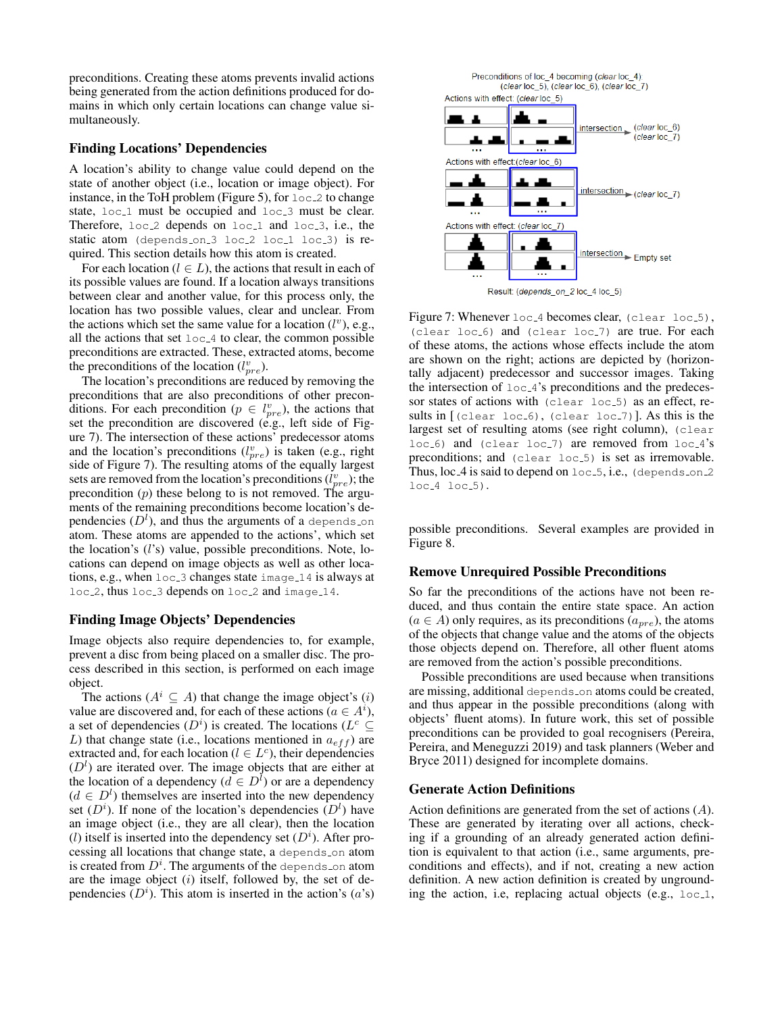preconditions. Creating these atoms prevents invalid actions being generated from the action definitions produced for domains in which only certain locations can change value simultaneously.

## Finding Locations' Dependencies

A location's ability to change value could depend on the state of another object (i.e., location or image object). For instance, in the ToH problem (Figure 5), for  $loc_2$  to change state, loc<sub>-1</sub> must be occupied and loc<sub>-3</sub> must be clear. Therefore,  $loc_2$  depends on  $loc_1$  and  $loc_3$ , i.e., the static atom (depends\_on\_3 loc\_2 loc\_1 loc\_3) is required. This section details how this atom is created.

For each location ( $l \in L$ ), the actions that result in each of its possible values are found. If a location always transitions between clear and another value, for this process only, the location has two possible values, clear and unclear. From the actions which set the same value for a location  $(l^v)$ , e.g., all the actions that set  $loc_4$  to clear, the common possible preconditions are extracted. These, extracted atoms, become the preconditions of the location  $(l_{pre}^v)$ .

The location's preconditions are reduced by removing the preconditions that are also preconditions of other preconditions. For each precondition ( $p \in l_{pre}^v$ ), the actions that set the precondition are discovered (e.g., left side of Figure 7). The intersection of these actions' predecessor atoms and the location's preconditions  $(l_{pre}^v)$  is taken (e.g., right side of Figure 7). The resulting atoms of the equally largest sets are removed from the location's preconditions  $(l_{pre}^v)$ ; the precondition  $(p)$  these belong to is not removed. The arguments of the remaining preconditions become location's dependencies  $(D<sup>l</sup>)$ , and thus the arguments of a depends on atom. These atoms are appended to the actions', which set the location's (l's) value, possible preconditions. Note, locations can depend on image objects as well as other locations, e.g., when loc 3 changes state image 14 is always at loc<sub>-2</sub>, thus loc<sub>-3</sub> depends on loc<sub>-2</sub> and image<sub>-14</sub>.

#### Finding Image Objects' Dependencies

Image objects also require dependencies to, for example, prevent a disc from being placed on a smaller disc. The process described in this section, is performed on each image object.

The actions ( $A^i \subseteq A$ ) that change the image object's (i) value are discovered and, for each of these actions ( $a \in A^i$ ), a set of dependencies  $(D<sup>i</sup>)$  is created. The locations  $(L<sup>c</sup> \subseteq$ L) that change state (i.e., locations mentioned in  $a_{eff}$ ) are extracted and, for each location ( $l \in L^c$ ), their dependencies  $(D<sup>l</sup>)$  are iterated over. The image objects that are either at the location of a dependency ( $d \in D^l$ ) or are a dependency  $(d \in D<sup>l</sup>)$  themselves are inserted into the new dependency set  $(D<sup>i</sup>)$ . If none of the location's dependencies  $(D<sup>i</sup>)$  have an image object (i.e., they are all clear), then the location (l) itself is inserted into the dependency set  $(D<sup>i</sup>)$ . After processing all locations that change state, a depends on atom is created from  $D^i$ . The arguments of the depends on atom are the image object  $(i)$  itself, followed by, the set of dependencies  $(D<sup>i</sup>)$ . This atom is inserted in the action's  $(a's)$ 



Figure 7: Whenever loc 4 becomes clear, (clear loc 5), (clear loc<sub>-6</sub>) and (clear loc<sub>-7</sub>) are true. For each of these atoms, the actions whose effects include the atom are shown on the right; actions are depicted by (horizontally adjacent) predecessor and successor images. Taking the intersection of  $loc_4$ 's preconditions and the predecessor states of actions with (clear loc<sub>-5</sub>) as an effect, results in  $[(\text{clear loc.6}), (\text{clear loc.7})]$ . As this is the largest set of resulting atoms (see right column), (clear loc<sub>-6</sub>) and (clear loc<sub>-7</sub>) are removed from loc<sub>-4</sub>'s preconditions; and (clear loc<sub>-5</sub>) is set as irremovable. Thus,  $loc_4$  is said to depend on  $loc_5$ , i.e., (depends on 2  $loc_4$   $loc_5$ ).

possible preconditions. Several examples are provided in Figure 8.

#### Remove Unrequired Possible Preconditions

So far the preconditions of the actions have not been reduced, and thus contain the entire state space. An action  $(a \in A)$  only requires, as its preconditions  $(a_{pre})$ , the atoms of the objects that change value and the atoms of the objects those objects depend on. Therefore, all other fluent atoms are removed from the action's possible preconditions.

Possible preconditions are used because when transitions are missing, additional depends on atoms could be created, and thus appear in the possible preconditions (along with objects' fluent atoms). In future work, this set of possible preconditions can be provided to goal recognisers (Pereira, Pereira, and Meneguzzi 2019) and task planners (Weber and Bryce 2011) designed for incomplete domains.

#### Generate Action Definitions

Action definitions are generated from the set of actions (A). These are generated by iterating over all actions, checking if a grounding of an already generated action definition is equivalent to that action (i.e., same arguments, preconditions and effects), and if not, creating a new action definition. A new action definition is created by ungrounding the action, i.e, replacing actual objects (e.g.,  $loc_1$ ,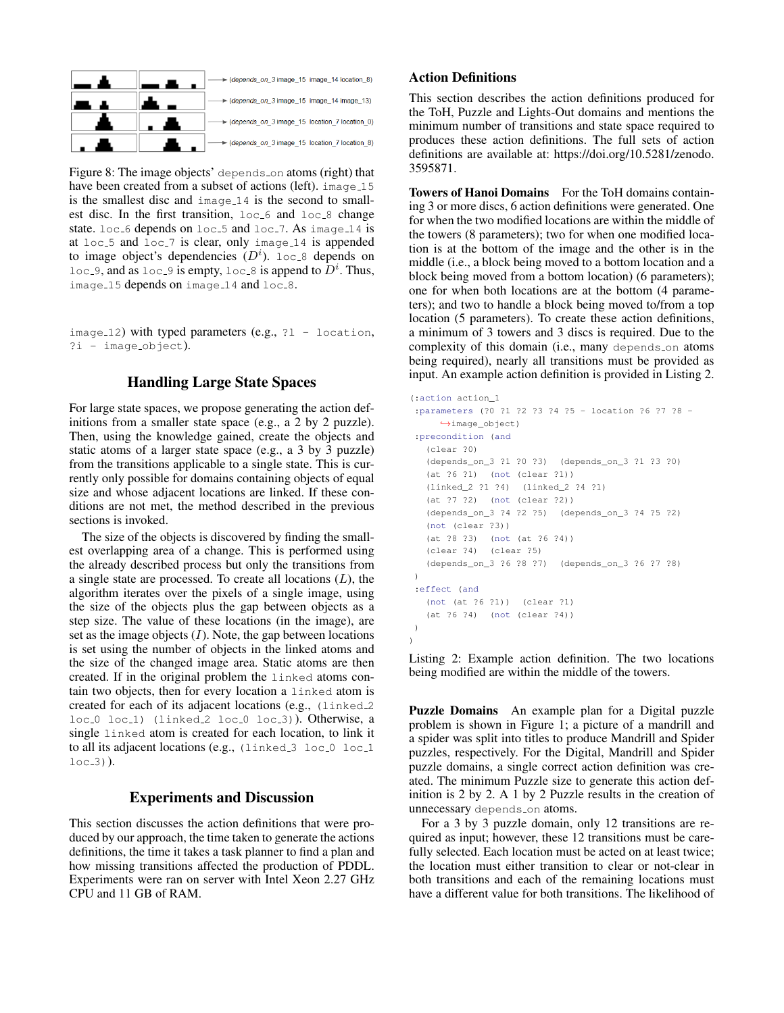

Figure 8: The image objects' depends on atoms (right) that have been created from a subset of actions (left),  $\frac{1}{2}$  image 15 is the smallest disc and image 14 is the second to smallest disc. In the first transition,  $loc_6$  and  $loc_8$  change state.  $loc_6$  depends on  $loc_5$  and  $loc_7$ . As image 14 is at  $loc_5$  and  $loc_7$  is clear, only image 14 is appended to image object's dependencies  $(D<sup>i</sup>)$ . loc 8 depends on  $loc_9$ , and as  $loc_9$  is empty,  $loc_8$  is append to  $D^i$ . Thus, image 15 depends on image 14 and loc 8.

image  $12$ ) with typed parameters (e.g.,  $21 -$  location, ?i - image object).

## Handling Large State Spaces

For large state spaces, we propose generating the action definitions from a smaller state space (e.g., a 2 by 2 puzzle). Then, using the knowledge gained, create the objects and static atoms of a larger state space (e.g., a 3 by 3 puzzle) from the transitions applicable to a single state. This is currently only possible for domains containing objects of equal size and whose adjacent locations are linked. If these conditions are not met, the method described in the previous sections is invoked.

The size of the objects is discovered by finding the smallest overlapping area of a change. This is performed using the already described process but only the transitions from a single state are processed. To create all locations  $(L)$ , the algorithm iterates over the pixels of a single image, using the size of the objects plus the gap between objects as a step size. The value of these locations (in the image), are set as the image objects  $(I)$ . Note, the gap between locations is set using the number of objects in the linked atoms and the size of the changed image area. Static atoms are then created. If in the original problem the linked atoms contain two objects, then for every location a linked atom is created for each of its adjacent locations (e.g., (linked 2 loc<sub>-0</sub> loc<sub>-1</sub>) (linked<sub>-2</sub> loc<sub>-0</sub> loc<sub>-3</sub>)). Otherwise, a single linked atom is created for each location, to link it to all its adjacent locations (e.g.,  $\{$ linked 3 loc 0 loc 1  $loc.3)$ ).

## Experiments and Discussion

This section discusses the action definitions that were produced by our approach, the time taken to generate the actions definitions, the time it takes a task planner to find a plan and how missing transitions affected the production of PDDL. Experiments were ran on server with Intel Xeon 2.27 GHz CPU and 11 GB of RAM.

## Action Definitions

This section describes the action definitions produced for the ToH, Puzzle and Lights-Out domains and mentions the minimum number of transitions and state space required to produces these action definitions. The full sets of action definitions are available at: https://doi.org/10.5281/zenodo. 3595871.

Towers of Hanoi Domains For the ToH domains containing 3 or more discs, 6 action definitions were generated. One for when the two modified locations are within the middle of the towers (8 parameters); two for when one modified location is at the bottom of the image and the other is in the middle (i.e., a block being moved to a bottom location and a block being moved from a bottom location) (6 parameters); one for when both locations are at the bottom (4 parameters); and two to handle a block being moved to/from a top location (5 parameters). To create these action definitions, a minimum of 3 towers and 3 discs is required. Due to the complexity of this domain (i.e., many depends on atoms being required), nearly all transitions must be provided as input. An example action definition is provided in Listing 2.

```
(:action action_1
:parameters (?0 ?1 ?2 ?3 ?4 ?5 - location ?6 ?7 ?8 -
     ,→image_object)
 :precondition (and
   (clear ?0)
   (depends_on_3 ?1 ?0 ?3) (depends_on_3 ?1 ?3 ?0)
   (at ?6 ?1) (not (clear ?1))
   (linked_2 ?1 ?4) (linked_2 ?4 ?1)
   (at ?7 ?2) (not (clear ?2))
   (depends_on_3 ?4 ?2 ?5) (depends_on_3 ?4 ?5 ?2)
   (not (clear ?3))
   (at ?8 ?3) (not (at ?6 ?4))
   (clear ?4) (clear ?5)
   (depends_on_3 ?6 ?8 ?7) (depends_on_3 ?6 ?7 ?8)
)
 :effect (and
   (not (at ?6 ?1)) (clear ?1)
   (at ?6 ?4) (not (clear ?4))
)
\lambda
```
Listing 2: Example action definition. The two locations being modified are within the middle of the towers.

Puzzle Domains An example plan for a Digital puzzle problem is shown in Figure 1; a picture of a mandrill and a spider was split into titles to produce Mandrill and Spider puzzles, respectively. For the Digital, Mandrill and Spider puzzle domains, a single correct action definition was created. The minimum Puzzle size to generate this action definition is 2 by 2. A 1 by 2 Puzzle results in the creation of unnecessary depends on atoms.

For a 3 by 3 puzzle domain, only 12 transitions are required as input; however, these 12 transitions must be carefully selected. Each location must be acted on at least twice; the location must either transition to clear or not-clear in both transitions and each of the remaining locations must have a different value for both transitions. The likelihood of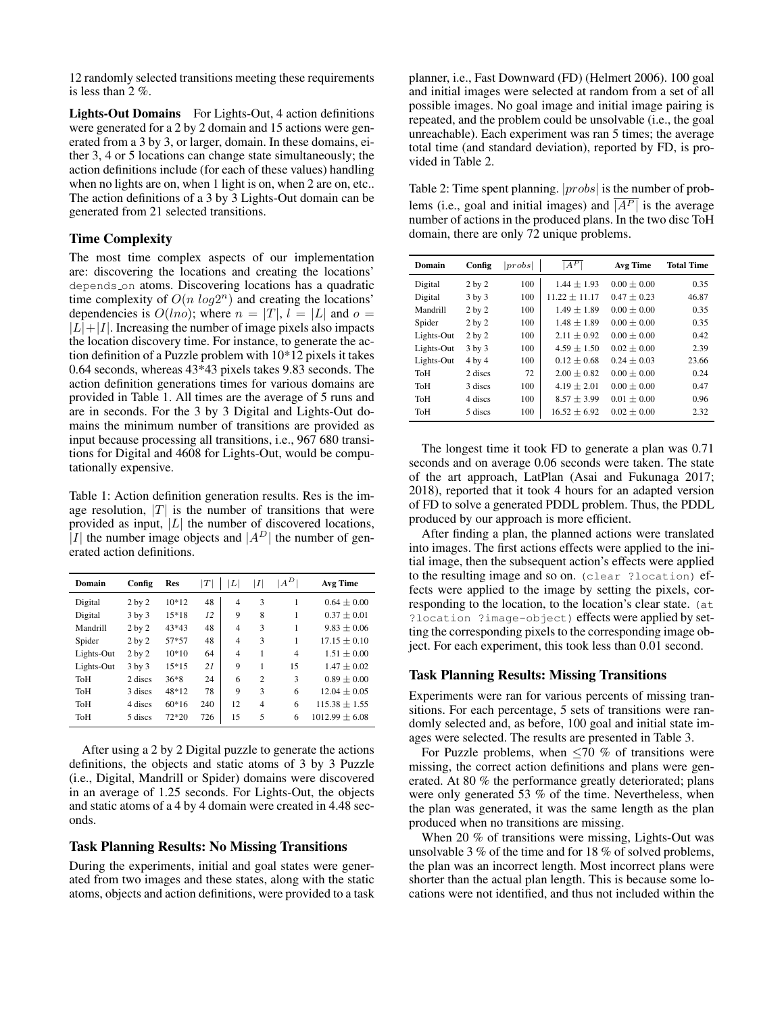12 randomly selected transitions meeting these requirements is less than 2 %.

Lights-Out Domains For Lights-Out, 4 action definitions were generated for a 2 by 2 domain and 15 actions were generated from a 3 by 3, or larger, domain. In these domains, either 3, 4 or 5 locations can change state simultaneously; the action definitions include (for each of these values) handling when no lights are on, when 1 light is on, when 2 are on, etc.. The action definitions of a 3 by 3 Lights-Out domain can be generated from 21 selected transitions.

## Time Complexity

The most time complex aspects of our implementation are: discovering the locations and creating the locations' depends on atoms. Discovering locations has a quadratic time complexity of  $O(n \log 2^n)$  and creating the locations' dependencies is  $O(lno)$ ; where  $n = |T|$ ,  $l = |L|$  and  $o =$  $|L|+|I|$ . Increasing the number of image pixels also impacts the location discovery time. For instance, to generate the action definition of a Puzzle problem with 10\*12 pixels it takes 0.64 seconds, whereas 43\*43 pixels takes 9.83 seconds. The action definition generations times for various domains are provided in Table 1. All times are the average of 5 runs and are in seconds. For the 3 by 3 Digital and Lights-Out domains the minimum number of transitions are provided as input because processing all transitions, i.e., 967 680 transitions for Digital and 4608 for Lights-Out, would be computationally expensive.

Table 1: Action definition generation results. Res is the image resolution,  $|T|$  is the number of transitions that were provided as input,  $|L|$  the number of discovered locations, |I| the number image objects and  $|A^D|$  the number of generated action definitions.

| Domain     | Config            | <b>Res</b> | $\left\vert T\right\vert$ | L              | I              | $A^D$ | Avg Time           |
|------------|-------------------|------------|---------------------------|----------------|----------------|-------|--------------------|
| Digital    | 2 <sub>by</sub> 2 | $10*12$    | 48                        | $\overline{4}$ | 3              | 1     | $0.64 \pm 0.00$    |
| Digital    | $3$ by $3$        | 15*18      | 12                        | 9              | 8              | 1     | $0.37 \pm 0.01$    |
| Mandrill   | $2$ by $2$        | $43*43$    | 48                        | $\overline{4}$ | 3              | 1     | $9.83 \pm 0.06$    |
| Spider     | 2 <sub>by</sub> 2 | 57*57      | 48                        | $\overline{4}$ | 3              | 1     | $17.15 \pm 0.10$   |
| Lights-Out | 2 <sub>by</sub> 2 | $10*10$    | 64                        | $\overline{4}$ | 1              | 4     | $1.51 \pm 0.00$    |
| Lights-Out | $3$ by $3$        | 15*15      | 21                        | 9              | 1              | 15    | $1.47 \pm 0.02$    |
| ToH        | 2 discs           | $36*8$     | 24                        | 6              | $\overline{c}$ | 3     | $0.89 \pm 0.00$    |
| ToH        | 3 discs           | 48*12      | 78                        | 9              | 3              | 6     | $12.04 \pm 0.05$   |
| ToH        | 4 discs           | $60*16$    | 240                       | 12             | $\overline{4}$ | 6     | $115.38 \pm 1.55$  |
| ToH        | 5 discs           | 72*20      | 726                       | 15             | 5              | 6     | $1012.99 \pm 6.08$ |

After using a 2 by 2 Digital puzzle to generate the actions definitions, the objects and static atoms of 3 by 3 Puzzle (i.e., Digital, Mandrill or Spider) domains were discovered in an average of 1.25 seconds. For Lights-Out, the objects and static atoms of a 4 by 4 domain were created in 4.48 seconds.

#### Task Planning Results: No Missing Transitions

During the experiments, initial and goal states were generated from two images and these states, along with the static atoms, objects and action definitions, were provided to a task

planner, i.e., Fast Downward (FD) (Helmert 2006). 100 goal and initial images were selected at random from a set of all possible images. No goal image and initial image pairing is repeated, and the problem could be unsolvable (i.e., the goal unreachable). Each experiment was ran 5 times; the average total time (and standard deviation), reported by FD, is provided in Table 2.

Table 2: Time spent planning.  $|probs|$  is the number of problems (i.e., goal and initial images) and  $\overline{A^{P}}$  is the average number of actions in the produced plans. In the two disc ToH domain, there are only 72 unique problems.

| <b>Domain</b> | Config     | probs | $ A^P $           | Avg Time        | <b>Total Time</b> |  |
|---------------|------------|-------|-------------------|-----------------|-------------------|--|
| Digital       | $2$ by $2$ | 100   | $1.44 \pm 1.93$   | $0.00 \pm 0.00$ | 0.35              |  |
| Digital       | $3$ by $3$ | 100   | $11.22 \pm 11.17$ | $0.47 \pm 0.23$ | 46.87             |  |
| Mandrill      | $2$ by $2$ | 100   | $1.49 \pm 1.89$   | $0.00 + 0.00$   | 0.35              |  |
| Spider        | $2$ by $2$ | 100   | $1.48 \pm 1.89$   | $0.00 + 0.00$   | 0.35              |  |
| Lights-Out    | $2$ by $2$ | 100   | $2.11 + 0.92$     | $0.00 + 0.00$   | 0.42              |  |
| Lights-Out    | $3$ by $3$ | 100   | $4.59 + 1.50$     | $0.02 + 0.00$   | 2.39              |  |
| Lights-Out    | 4 by 4     | 100   | $0.12 + 0.68$     | $0.24 + 0.03$   | 23.66             |  |
| ToH           | 2 discs    | 72    | $2.00 + 0.82$     | $0.00 + 0.00$   | 0.24              |  |
| ToH           | 3 discs    | 100   | $4.19 \pm 2.01$   | $0.00 + 0.00$   | 0.47              |  |
| ToH           | 4 discs    | 100   | $8.57 \pm 3.99$   | $0.01 \pm 0.00$ | 0.96              |  |
| ToH           | 5 discs    | 100   | $16.52 + 6.92$    | $0.02 + 0.00$   | 2.32              |  |

The longest time it took FD to generate a plan was 0.71 seconds and on average 0.06 seconds were taken. The state of the art approach, LatPlan (Asai and Fukunaga 2017; 2018), reported that it took 4 hours for an adapted version of FD to solve a generated PDDL problem. Thus, the PDDL produced by our approach is more efficient.

After finding a plan, the planned actions were translated into images. The first actions effects were applied to the initial image, then the subsequent action's effects were applied to the resulting image and so on. (clear ?location) effects were applied to the image by setting the pixels, corresponding to the location, to the location's clear state. (at ?location ?image-object) effects were applied by setting the corresponding pixels to the corresponding image object. For each experiment, this took less than 0.01 second.

#### Task Planning Results: Missing Transitions

Experiments were ran for various percents of missing transitions. For each percentage, 5 sets of transitions were randomly selected and, as before, 100 goal and initial state images were selected. The results are presented in Table 3.

For Puzzle problems, when  $\leq 70$  % of transitions were missing, the correct action definitions and plans were generated. At 80 % the performance greatly deteriorated; plans were only generated 53 % of the time. Nevertheless, when the plan was generated, it was the same length as the plan produced when no transitions are missing.

When 20 % of transitions were missing, Lights-Out was unsolvable 3 % of the time and for 18 % of solved problems, the plan was an incorrect length. Most incorrect plans were shorter than the actual plan length. This is because some locations were not identified, and thus not included within the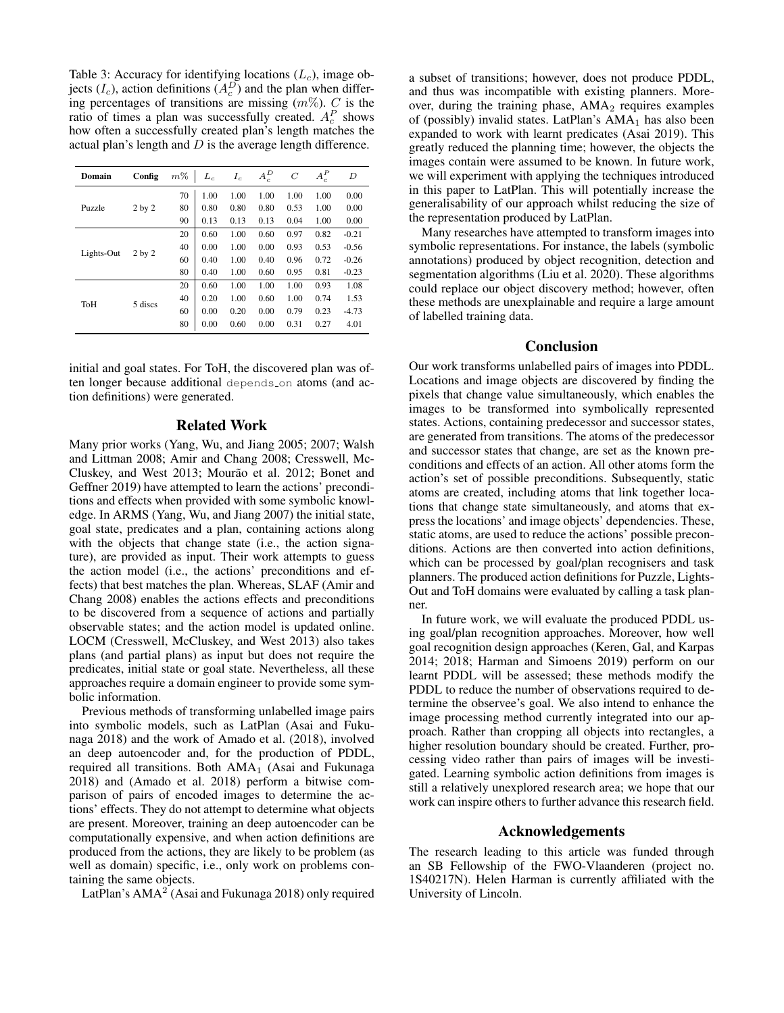Table 3: Accuracy for identifying locations  $(L_c)$ , image objects  $(I_c)$ , action definitions  $(A_c^D)$  and the plan when differing percentages of transitions are missing  $(m\%)$ . C is the ratio of times a plan was successfully created.  $A_c^P$  shows how often a successfully created plan's length matches the actual plan's length and  $D$  is the average length difference.

| Domain     | Config            | $m\%$ | $L_c$ | $I_c$ | $A_c^D$ | $\boldsymbol{C}$ | $A_c^P$ | D       |
|------------|-------------------|-------|-------|-------|---------|------------------|---------|---------|
| Puzzle     | 2 <sub>by</sub> 2 | 70    | 1.00  | 1.00  | 1.00    | 1.00             | 1.00    | 0.00    |
|            |                   | 80    | 0.80  | 0.80  | 0.80    | 0.53             | 1.00    | 0.00    |
|            |                   | 90    | 0.13  | 0.13  | 0.13    | 0.04             | 1.00    | 0.00    |
| Lights-Out | $2$ by $2$        | 20    | 0.60  | 1.00  | 0.60    | 0.97             | 0.82    | $-0.21$ |
|            |                   | 40    | 0.00  | 1.00  | 0.00    | 0.93             | 0.53    | $-0.56$ |
|            |                   | 60    | 0.40  | 1.00  | 0.40    | 0.96             | 0.72    | $-0.26$ |
|            |                   | 80    | 0.40  | 1.00  | 0.60    | 0.95             | 0.81    | $-0.23$ |
| ToH        | 5 discs           | 20    | 0.60  | 1.00  | 1.00    | 1.00             | 0.93    | 1.08    |
|            |                   | 40    | 0.20  | 1.00  | 0.60    | 1.00             | 0.74    | 1.53    |
|            |                   | 60    | 0.00  | 0.20  | 0.00    | 0.79             | 0.23    | $-4.73$ |
|            |                   | 80    | 0.00  | 0.60  | 0.00    | 0.31             | 0.27    | 4.01    |

initial and goal states. For ToH, the discovered plan was often longer because additional depends on atoms (and action definitions) were generated.

## Related Work

Many prior works (Yang, Wu, and Jiang 2005; 2007; Walsh and Littman 2008; Amir and Chang 2008; Cresswell, Mc-Cluskey, and West 2013; Mourão et al. 2012; Bonet and Geffner 2019) have attempted to learn the actions' preconditions and effects when provided with some symbolic knowledge. In ARMS (Yang, Wu, and Jiang 2007) the initial state, goal state, predicates and a plan, containing actions along with the objects that change state (i.e., the action signature), are provided as input. Their work attempts to guess the action model (i.e., the actions' preconditions and effects) that best matches the plan. Whereas, SLAF (Amir and Chang 2008) enables the actions effects and preconditions to be discovered from a sequence of actions and partially observable states; and the action model is updated online. LOCM (Cresswell, McCluskey, and West 2013) also takes plans (and partial plans) as input but does not require the predicates, initial state or goal state. Nevertheless, all these approaches require a domain engineer to provide some symbolic information.

Previous methods of transforming unlabelled image pairs into symbolic models, such as LatPlan (Asai and Fukunaga 2018) and the work of Amado et al. (2018), involved an deep autoencoder and, for the production of PDDL, required all transitions. Both  $AMA<sub>1</sub>$  (Asai and Fukunaga 2018) and (Amado et al. 2018) perform a bitwise comparison of pairs of encoded images to determine the actions' effects. They do not attempt to determine what objects are present. Moreover, training an deep autoencoder can be computationally expensive, and when action definitions are produced from the actions, they are likely to be problem (as well as domain) specific, i.e., only work on problems containing the same objects.

LatPlan's  $AMA<sup>2</sup>$  (Asai and Fukunaga 2018) only required

a subset of transitions; however, does not produce PDDL, and thus was incompatible with existing planners. Moreover, during the training phase, AMA<sub>2</sub> requires examples of (possibly) invalid states. LatPlan's  $AMA<sub>1</sub>$  has also been expanded to work with learnt predicates (Asai 2019). This greatly reduced the planning time; however, the objects the images contain were assumed to be known. In future work, we will experiment with applying the techniques introduced in this paper to LatPlan. This will potentially increase the generalisability of our approach whilst reducing the size of the representation produced by LatPlan.

Many researches have attempted to transform images into symbolic representations. For instance, the labels (symbolic annotations) produced by object recognition, detection and segmentation algorithms (Liu et al. 2020). These algorithms could replace our object discovery method; however, often these methods are unexplainable and require a large amount of labelled training data.

## Conclusion

Our work transforms unlabelled pairs of images into PDDL. Locations and image objects are discovered by finding the pixels that change value simultaneously, which enables the images to be transformed into symbolically represented states. Actions, containing predecessor and successor states, are generated from transitions. The atoms of the predecessor and successor states that change, are set as the known preconditions and effects of an action. All other atoms form the action's set of possible preconditions. Subsequently, static atoms are created, including atoms that link together locations that change state simultaneously, and atoms that express the locations' and image objects' dependencies. These, static atoms, are used to reduce the actions' possible preconditions. Actions are then converted into action definitions, which can be processed by goal/plan recognisers and task planners. The produced action definitions for Puzzle, Lights-Out and ToH domains were evaluated by calling a task planner.

In future work, we will evaluate the produced PDDL using goal/plan recognition approaches. Moreover, how well goal recognition design approaches (Keren, Gal, and Karpas 2014; 2018; Harman and Simoens 2019) perform on our learnt PDDL will be assessed; these methods modify the PDDL to reduce the number of observations required to determine the observee's goal. We also intend to enhance the image processing method currently integrated into our approach. Rather than cropping all objects into rectangles, a higher resolution boundary should be created. Further, processing video rather than pairs of images will be investigated. Learning symbolic action definitions from images is still a relatively unexplored research area; we hope that our work can inspire others to further advance this research field.

### Acknowledgements

The research leading to this article was funded through an SB Fellowship of the FWO-Vlaanderen (project no. 1S40217N). Helen Harman is currently affiliated with the University of Lincoln.